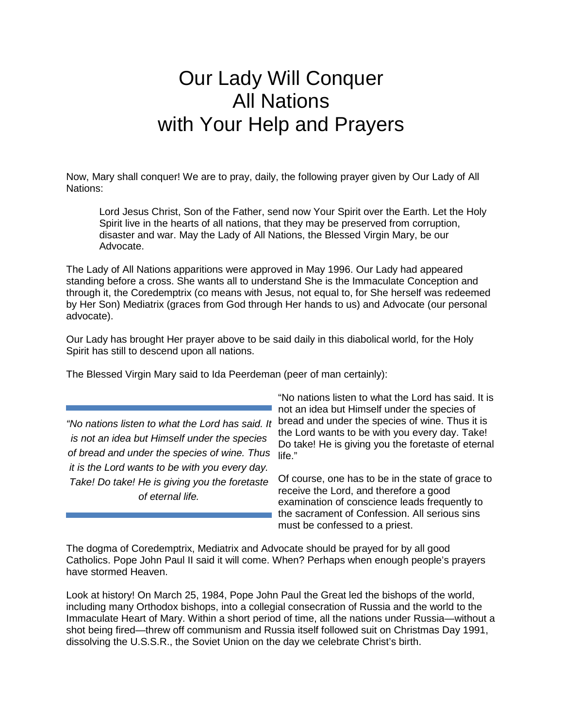## Our Lady Will Conquer All Nations with Your Help and Prayers

Now, Mary shall conquer! We are to pray, daily, the following prayer given by Our Lady of All Nations:

Lord Jesus Christ, Son of the Father, send now Your Spirit over the Earth. Let the Holy Spirit live in the hearts of all nations, that they may be preserved from corruption, disaster and war. May the Lady of All Nations, the Blessed Virgin Mary, be our Advocate.

The Lady of All Nations apparitions were approved in May 1996. Our Lady had appeared standing before a cross. She wants all to understand She is the Immaculate Conception and through it, the Coredemptrix (co means with Jesus, not equal to, for She herself was redeemed by Her Son) Mediatrix (graces from God through Her hands to us) and Advocate (our personal advocate).

Our Lady has brought Her prayer above to be said daily in this diabolical world, for the Holy Spirit has still to descend upon all nations.

The Blessed Virgin Mary said to Ida Peerdeman (peer of man certainly):

of bread and under the species of wine. Thus life." *"No nations listen to what the Lord has said. It is not an idea but Himself under the species it is the Lord wants to be with you every day. Take! Do take! He is giving you the foretaste of eternal life.*

"No nations listen to what the Lord has said. It is not an idea but Himself under the species of bread and under the species of wine. Thus it is the Lord wants to be with you every day. Take! Do take! He is giving you the foretaste of eternal

Of course, one has to be in the state of grace to receive the Lord, and therefore a good examination of conscience leads frequently to the sacrament of Confession. All serious sins must be confessed to a priest.

The dogma of Coredemptrix, Mediatrix and Advocate should be prayed for by all good Catholics. Pope John Paul II said it will come. When? Perhaps when enough people's prayers have stormed Heaven.

Look at history! On March 25, 1984, Pope John Paul the Great led the bishops of the world, including many Orthodox bishops, into a collegial consecration of Russia and the world to the Immaculate Heart of Mary. Within a short period of time, all the nations under Russia—without a shot being fired—threw off communism and Russia itself followed suit on Christmas Day 1991, dissolving the U.S.S.R., the Soviet Union on the day we celebrate Christ's birth.